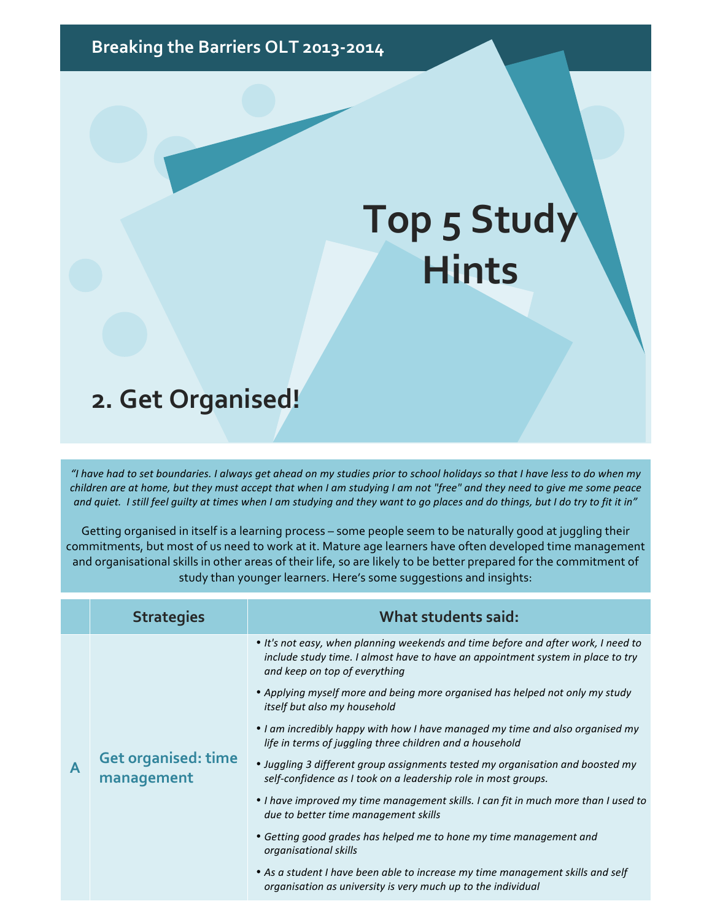Breaking the Barriers OLT 2013-2014

## **Top 5 Study Hints**

## **2. Get Organised!**

*"I have had to set boundaries. I always get ahead on my studies prior to school holidays so that I have less to do when my children* are at home, but they must accept that when I am studying I am not "free" and they need to give me some peace and quiet. I still feel quilty at times when I am studying and they want to go places and do things, but I do try to fit it in"

 $\overline{\phantom{a}}$ 

Getting organised in itself is a learning process - some people seem to be naturally good at juggling their commitments, but most of us need to work at it. Mature age learners have often developed time management and organisational skills in other areas of their life, so are likely to be better prepared for the commitment of study than younger learners. Here's some suggestions and insights:

|   | <b>Strategies</b>                        | What students said:                                                                                                                                                                                   |
|---|------------------------------------------|-------------------------------------------------------------------------------------------------------------------------------------------------------------------------------------------------------|
| A | <b>Get organised: time</b><br>management | • It's not easy, when planning weekends and time before and after work, I need to<br>include study time. I almost have to have an appointment system in place to try<br>and keep on top of everything |
|   |                                          | • Applying myself more and being more organised has helped not only my study<br>itself but also my household                                                                                          |
|   |                                          | • I am incredibly happy with how I have managed my time and also organised my<br>life in terms of juggling three children and a household                                                             |
|   |                                          | • Juggling 3 different group assignments tested my organisation and boosted my<br>self-confidence as I took on a leadership role in most groups.                                                      |
|   |                                          | • I have improved my time management skills. I can fit in much more than I used to<br>due to better time management skills                                                                            |
|   |                                          | • Getting good grades has helped me to hone my time management and<br>organisational skills                                                                                                           |
|   |                                          | • As a student I have been able to increase my time management skills and self<br>organisation as university is very much up to the individual                                                        |